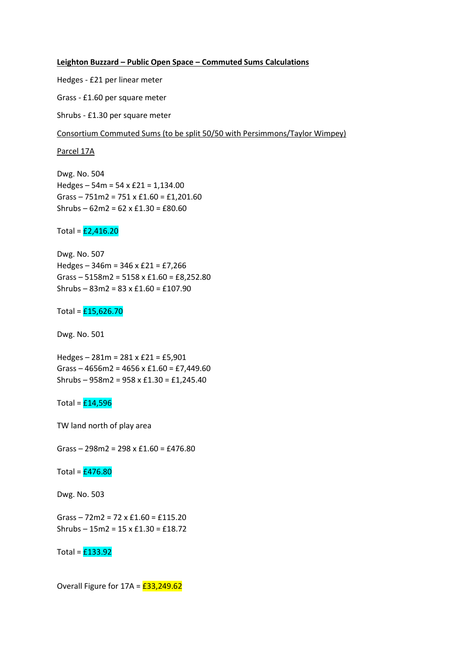## **Leighton Buzzard – Public Open Space – Commuted Sums Calculations**

Hedges - £21 per linear meter

Grass - £1.60 per square meter

Shrubs - £1.30 per square meter

Consortium Commuted Sums (to be split 50/50 with Persimmons/Taylor Wimpey)

Parcel 17A

Dwg. No. 504 Hedges – 54m = 54 x £21 = 1,134.00 Grass – 751m2 = 751 x £1.60 = £1,201.60 Shrubs – 62m2 = 62 x £1.30 = £80.60

Total =  $\frac{\mathbf{f}^2}{\mathbf{f}^2}$  = 1145.20

Dwg. No. 507 Hedges – 346m = 346 x £21 = £7,266 Grass – 5158m2 = 5158 x £1.60 = £8,252.80 Shrubs – 83m2 = 83 x £1.60 = £107.90

Total =  $£15,626.70$ 

Dwg. No. 501

Hedges – 281m = 281 x £21 = £5,901 Grass – 4656m2 = 4656 x £1.60 = £7,449.60 Shrubs – 958m2 = 958 x £1.30 = £1,245.40

Total =  $£14,596$ 

TW land north of play area

Grass – 298m2 = 298 x £1.60 = £476.80

Total =  $£476.80$ 

Dwg. No. 503

Grass – 72m2 = 72 x £1.60 = £115.20 Shrubs – 15m2 = 15 x £1.30 = £18.72

Total =  $£133.92$ 

Overall Figure for  $17A = \frac{233,249.62}{2}$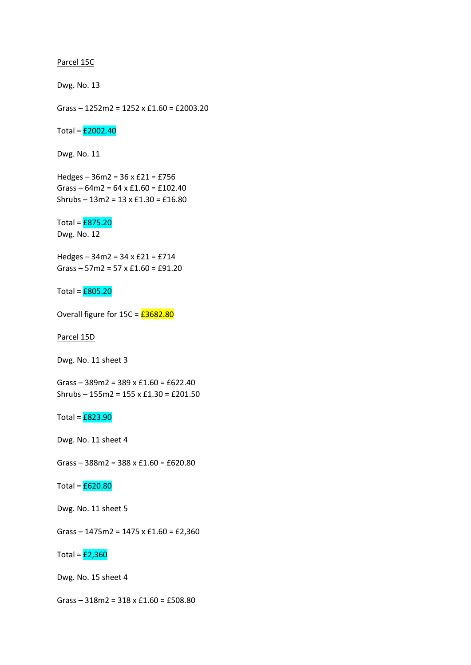## Parcel 15C

Dwg. No. 13

Grass – 1252m2 = 1252 x £1.60 = £2003.20

Total =  $\textcolor{red}{\mathbf{f2002.40}}$ 

Dwg. No. 11

Hedges – 36m2 = 36 x £21 = £756 Grass –  $64m2 = 64 \times £1.60 = £102.40$ Shrubs – 13m2 = 13 x £1.30 = £16.80

Total =  $E875.20$ Dwg. No. 12

Hedges – 34m2 = 34 x £21 = £714 Grass – 57m2 = 57 x £1.60 = £91.20

Total =  $E805.20$ 

Overall figure for  $15C = \frac{\text{\textsterling}3682.80}{\text{\textsterling}160}$ 

Parcel 15D

Dwg. No. 11 sheet 3

Grass – 389m2 = 389 x £1.60 = £622.40 Shrubs – 155m2 = 155 x £1.30 = £201.50

Total =  $E823.90$ 

Dwg. No. 11 sheet 4

Grass – 388m2 = 388 x £1.60 = £620.80

Total =  $E620.80$ 

Dwg. No. 11 sheet 5

Grass – 1475m2 = 1475 x £1.60 = £2,360

Total =  $E2,360$ 

Dwg. No. 15 sheet 4

Grass – 318m2 = 318 x £1.60 = £508.80